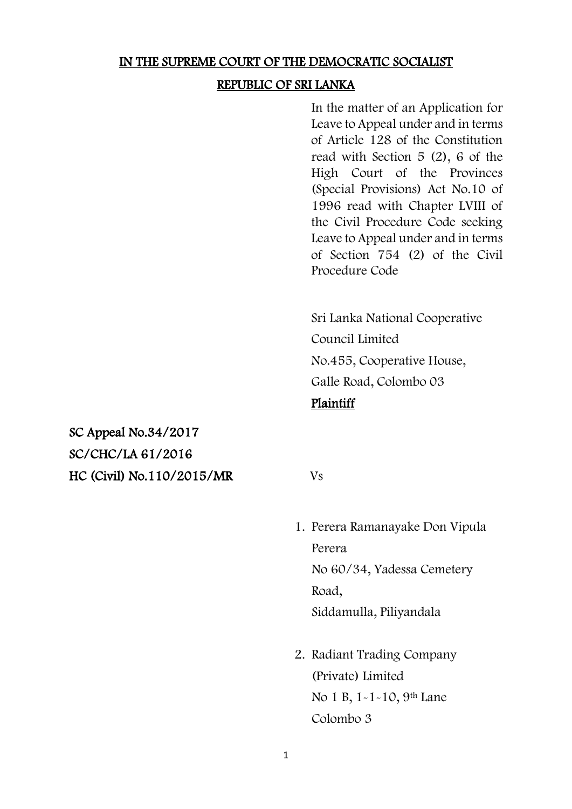### IN THE SUPREME COURT OF THE DEMOCRATIC SOCIALIST

### REPUBLIC OF SRI LANKA

In the matter of an Application for Leave to Appeal under and in terms of Article 128 of the Constitution read with Section 5 (2), 6 of the High Court of the Provinces (Special Provisions) Act No.10 of 1996 read with Chapter LVIII of the Civil Procedure Code seeking Leave to Appeal under and in terms of Section 754 (2) of the Civil Procedure Code

Sri Lanka National Cooperative Council Limited No.455, Cooperative House, Galle Road, Colombo 03 **Plaintiff** 

SC Appeal No.34/2017 SC/CHC/LA 61/2016 HC (Civil) No.110/2015/MR Vs

- 1. Perera Ramanayake Don Vipula Perera No 60/34, Yadessa Cemetery Road, Siddamulla, Piliyandala
- 2. Radiant Trading Company (Private) Limited No 1 B, 1-1-10, 9<sup>th</sup> Lane Colombo 3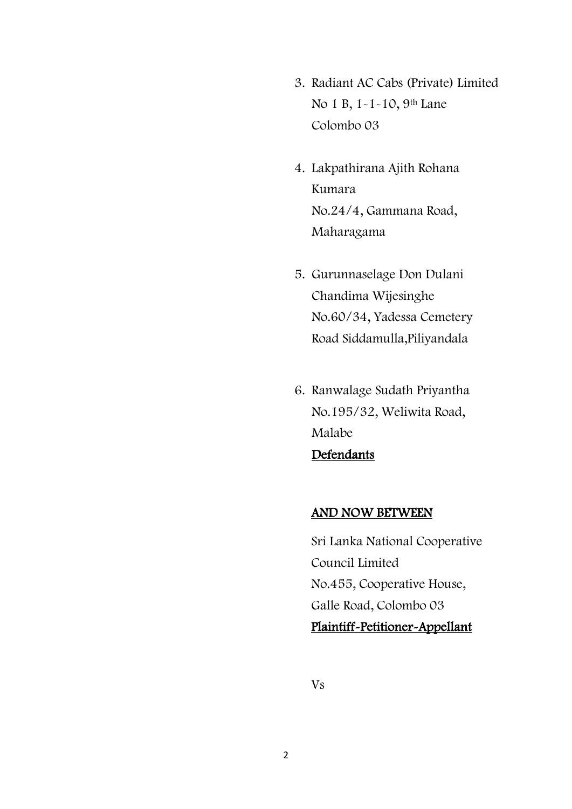- 3. Radiant AC Cabs (Private) Limited No 1 B, 1-1-10, 9<sup>th</sup> Lane Colombo 03
- 4. Lakpathirana Ajith Rohana Kumara No.24/4, Gammana Road, Maharagama
- 5. Gurunnaselage Don Dulani Chandima Wijesinghe No.60/34, Yadessa Cemetery Road Siddamulla,Piliyandala
- 6. Ranwalage Sudath Priyantha No.195/32, Weliwita Road, Malabe Defendants

### AND NOW BETWEEN

Sri Lanka National Cooperative Council Limited No.455, Cooperative House, Galle Road, Colombo 03 Plaintiff-Petitioner-Appellant

Vs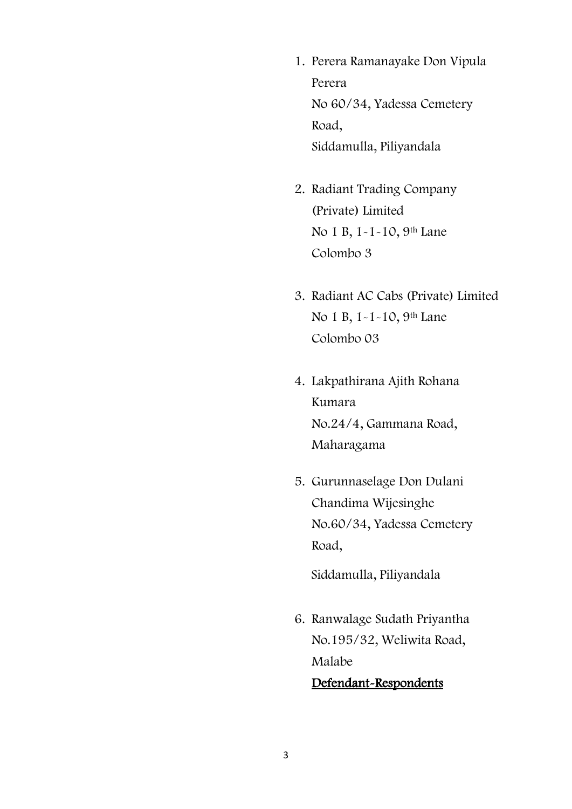- 1. Perera Ramanayake Don Vipula Perera No 60/34, Yadessa Cemetery Road, Siddamulla, Piliyandala
- 2. Radiant Trading Company (Private) Limited No 1 B, 1-1-10, 9<sup>th</sup> Lane Colombo 3
- 3. Radiant AC Cabs (Private) Limited No 1 B, 1-1-10, 9<sup>th</sup> Lane Colombo 03
- 4. Lakpathirana Ajith Rohana Kumara No.24/4, Gammana Road, Maharagama
- 5. Gurunnaselage Don Dulani Chandima Wijesinghe No.60/34, Yadessa Cemetery Road,

Siddamulla, Piliyandala

6. Ranwalage Sudath Priyantha No.195/32, Weliwita Road, Malabe Defendant-Respondents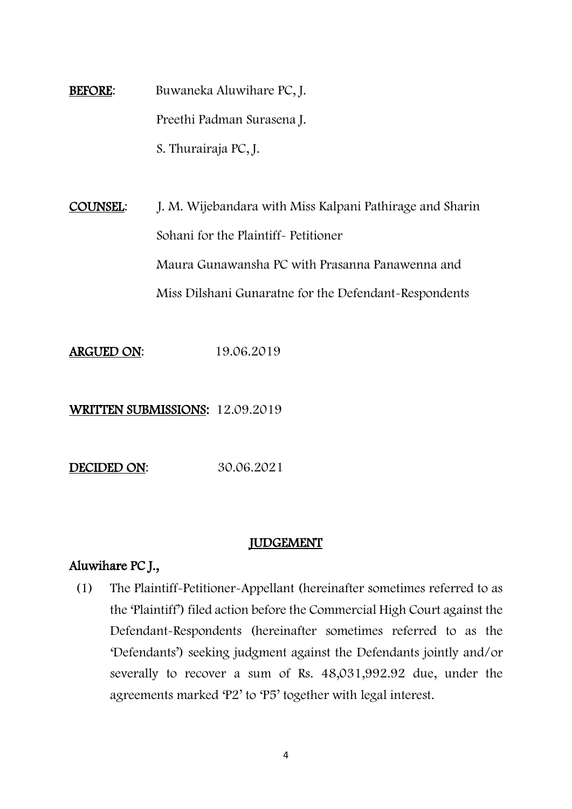BEFORE: Buwaneka Aluwihare PC, J. Preethi Padman Surasena J. S. Thurairaja PC, J.

COUNSEL: J. M. Wijebandara with Miss Kalpani Pathirage and Sharin Sohani for the Plaintiff- Petitioner Maura Gunawansha PC with Prasanna Panawenna and Miss Dilshani Gunaratne for the Defendant-Respondents

ARGUED ON: 19.06.2019

WRITTEN SUBMISSIONS: 12.09.2019

DECIDED ON: 30.06.2021

#### JUDGEMENT

## Aluwihare PC J.,

(1) The Plaintiff-Petitioner-Appellant (hereinafter sometimes referred to as the 'Plaintiff') filed action before the Commercial High Court against the Defendant-Respondents (hereinafter sometimes referred to as the 'Defendants') seeking judgment against the Defendants jointly and/or severally to recover a sum of Rs. 48,031,992.92 due, under the agreements marked 'P2' to 'P5' together with legal interest.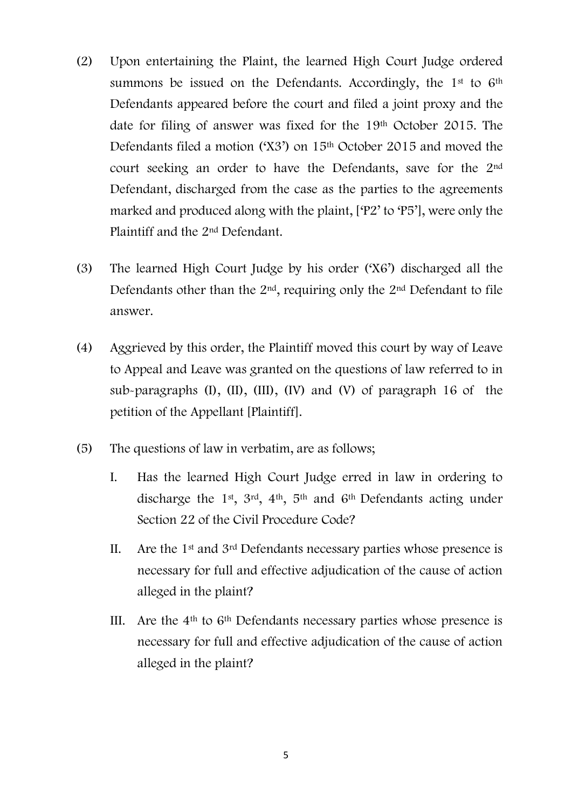- (2) Upon entertaining the Plaint, the learned High Court Judge ordered summons be issued on the Defendants. Accordingly, the 1<sup>st</sup> to 6<sup>th</sup> Defendants appeared before the court and filed a joint proxy and the date for filing of answer was fixed for the 19th October 2015. The Defendants filed a motion ('X3') on 15<sup>th</sup> October 2015 and moved the court seeking an order to have the Defendants, save for the 2nd Defendant, discharged from the case as the parties to the agreements marked and produced along with the plaint, ['P2' to 'P5'], were only the Plaintiff and the 2nd Defendant.
- (3) The learned High Court Judge by his order ('X6') discharged all the Defendants other than the 2<sup>nd</sup>, requiring only the 2<sup>nd</sup> Defendant to file answer.
- (4) Aggrieved by this order, the Plaintiff moved this court by way of Leave to Appeal and Leave was granted on the questions of law referred to in sub-paragraphs (I), (II), (III), (IV) and (V) of paragraph 16 of the petition of the Appellant [Plaintiff].
- (5) The questions of law in verbatim, are as follows;
	- I. Has the learned High Court Judge erred in law in ordering to discharge the 1st, 3rd, 4th, 5th and 6th Defendants acting under Section 22 of the Civil Procedure Code?
	- II. Are the  $1<sup>st</sup>$  and  $3<sup>rd</sup>$  Defendants necessary parties whose presence is necessary for full and effective adjudication of the cause of action alleged in the plaint?
	- III. Are the  $4<sup>th</sup>$  to  $6<sup>th</sup>$  Defendants necessary parties whose presence is necessary for full and effective adjudication of the cause of action alleged in the plaint?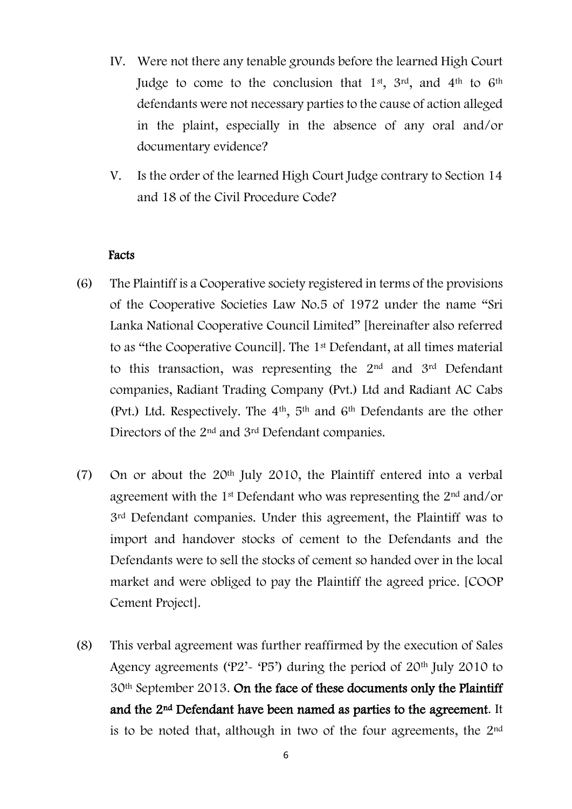- IV. Were not there any tenable grounds before the learned High Court Judge to come to the conclusion that  $1<sup>st</sup>$ ,  $3<sup>rd</sup>$ , and  $4<sup>th</sup>$  to  $6<sup>th</sup>$ defendants were not necessary parties to the cause of action alleged in the plaint, especially in the absence of any oral and/or documentary evidence?
- V. Is the order of the learned High Court Judge contrary to Section 14 and 18 of the Civil Procedure Code?

### Facts

- (6) The Plaintiff is a Cooperative society registered in terms of the provisions of the Cooperative Societies Law No.5 of 1972 under the name "Sri Lanka National Cooperative Council Limited" [hereinafter also referred to as "the Cooperative Council]. The 1st Defendant, at all times material to this transaction, was representing the 2nd and 3rd Defendant companies, Radiant Trading Company (Pvt.) Ltd and Radiant AC Cabs (Pvt.) Ltd. Respectively. The 4th, 5th and 6th Defendants are the other Directors of the 2nd and 3rd Defendant companies.
- (7) On or about the 20th July 2010, the Plaintiff entered into a verbal agreement with the 1<sup>st</sup> Defendant who was representing the 2<sup>nd</sup> and/or 3<sup>rd</sup> Defendant companies. Under this agreement, the Plaintiff was to import and handover stocks of cement to the Defendants and the Defendants were to sell the stocks of cement so handed over in the local market and were obliged to pay the Plaintiff the agreed price. [COOP Cement Project].
- (8) This verbal agreement was further reaffirmed by the execution of Sales Agency agreements ('P2'- 'P5') during the period of 20th July 2010 to 30th September 2013. On the face of these documents only the Plaintiff and the 2nd Defendant have been named as parties to the agreement. It is to be noted that, although in two of the four agreements, the  $2<sup>nd</sup>$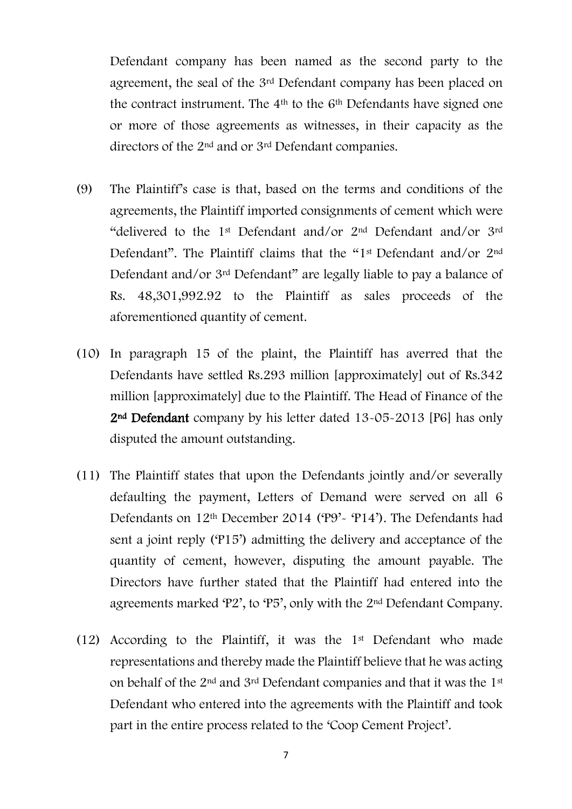Defendant company has been named as the second party to the agreement, the seal of the 3<sup>rd</sup> Defendant company has been placed on the contract instrument. The  $4<sup>th</sup>$  to the  $6<sup>th</sup>$  Defendants have signed one or more of those agreements as witnesses, in their capacity as the directors of the 2nd and or 3rd Defendant companies.

- (9) The Plaintiff's case is that, based on the terms and conditions of the agreements, the Plaintiff imported consignments of cement which were "delivered to the 1st Defendant and/or 2nd Defendant and/or 3rd Defendant". The Plaintiff claims that the "1st Defendant and/or 2nd Defendant and/or 3rd Defendant" are legally liable to pay a balance of Rs. 48,301,992.92 to the Plaintiff as sales proceeds of the aforementioned quantity of cement.
- (10) In paragraph 15 of the plaint, the Plaintiff has averred that the Defendants have settled Rs.293 million [approximately] out of Rs.342 million [approximately] due to the Plaintiff. The Head of Finance of the 2nd Defendant company by his letter dated 13-05-2013 [P6] has only disputed the amount outstanding.
- (11) The Plaintiff states that upon the Defendants jointly and/or severally defaulting the payment, Letters of Demand were served on all 6 Defendants on 12<sup>th</sup> December 2014 ('P9'- 'P14'). The Defendants had sent a joint reply ('P15') admitting the delivery and acceptance of the quantity of cement, however, disputing the amount payable. The Directors have further stated that the Plaintiff had entered into the agreements marked 'P2', to 'P5', only with the 2nd Defendant Company.
- (12) According to the Plaintiff, it was the 1st Defendant who made representations and thereby made the Plaintiff believe that he was acting on behalf of the 2nd and 3rd Defendant companies and that it was the 1st Defendant who entered into the agreements with the Plaintiff and took part in the entire process related to the 'Coop Cement Project'.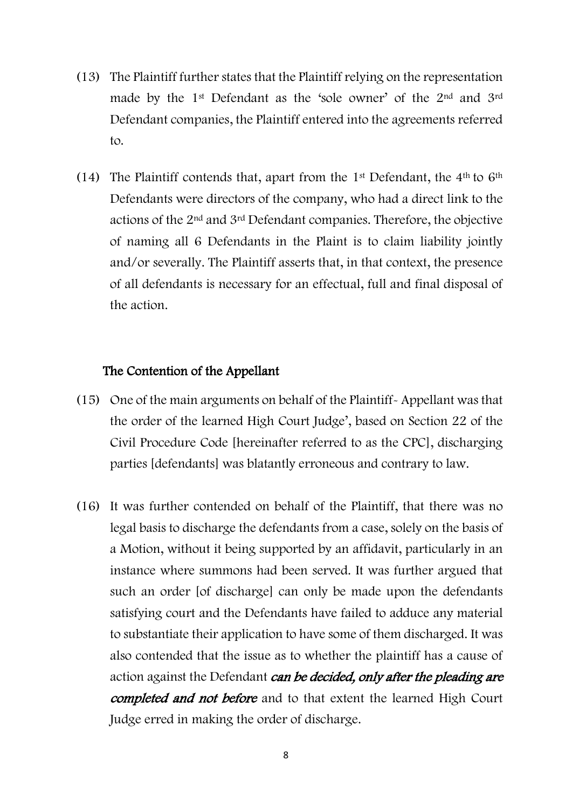- (13) The Plaintiff further states that the Plaintiff relying on the representation made by the 1st Defendant as the 'sole owner' of the 2nd and 3rd Defendant companies, the Plaintiff entered into the agreements referred to.
- (14) The Plaintiff contends that, apart from the  $1<sup>st</sup>$  Defendant, the  $4<sup>th</sup>$  to  $6<sup>th</sup>$ Defendants were directors of the company, who had a direct link to the actions of the 2nd and 3rd Defendant companies. Therefore, the objective of naming all 6 Defendants in the Plaint is to claim liability jointly and/or severally. The Plaintiff asserts that, in that context, the presence of all defendants is necessary for an effectual, full and final disposal of the action.

### The Contention of the Appellant

- (15) One of the main arguments on behalf of the Plaintiff- Appellant was that the order of the learned High Court Judge' , based on Section 22 of the Civil Procedure Code [hereinafter referred to as the CPC], discharging parties [defendants] was blatantly erroneous and contrary to law.
- (16) It was further contended on behalf of the Plaintiff, that there was no legal basis to discharge the defendants from a case, solely on the basis of a Motion, without it being supported by an affidavit, particularly in an instance where summons had been served. It was further argued that such an order [of discharge] can only be made upon the defendants satisfying court and the Defendants have failed to adduce any material to substantiate their application to have some of them discharged. It was also contended that the issue as to whether the plaintiff has a cause of action against the Defendant can be decided, only after the pleading are completed and not before and to that extent the learned High Court Judge erred in making the order of discharge.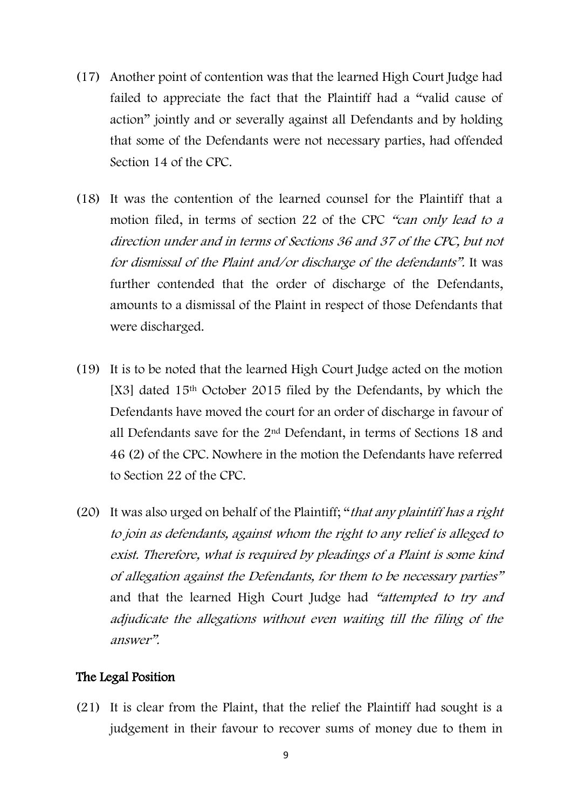- (17) Another point of contention was that the learned High Court Judge had failed to appreciate the fact that the Plaintiff had a "valid cause of action" jointly and or severally against all Defendants and by holding that some of the Defendants were not necessary parties, had offended Section 14 of the CPC.
- (18) It was the contention of the learned counsel for the Plaintiff that a motion filed, in terms of section 22 of the CPC "can only lead to a direction under and in terms of Sections 36 and 37 of the CPC, but not for dismissal of the Plaint and/or discharge of the defendants". It was further contended that the order of discharge of the Defendants, amounts to a dismissal of the Plaint in respect of those Defendants that were discharged.
- (19) It is to be noted that the learned High Court Judge acted on the motion [X3] dated 15<sup>th</sup> October 2015 filed by the Defendants, by which the Defendants have moved the court for an order of discharge in favour of all Defendants save for the 2nd Defendant, in terms of Sections 18 and 46 (2) of the CPC. Nowhere in the motion the Defendants have referred to Section 22 of the CPC.
- (20) It was also urged on behalf of the Plaintiff; "that any plaintiff has a right to join as defendants, against whom the right to any relief is alleged to exist. Therefore, what is required by pleadings of a Plaint is some kind of allegation against the Defendants, for them to be necessary parties" and that the learned High Court Judge had "attempted to try and adjudicate the allegations without even waiting till the filing of the answer".

#### The Legal Position

(21) It is clear from the Plaint, that the relief the Plaintiff had sought is a judgement in their favour to recover sums of money due to them in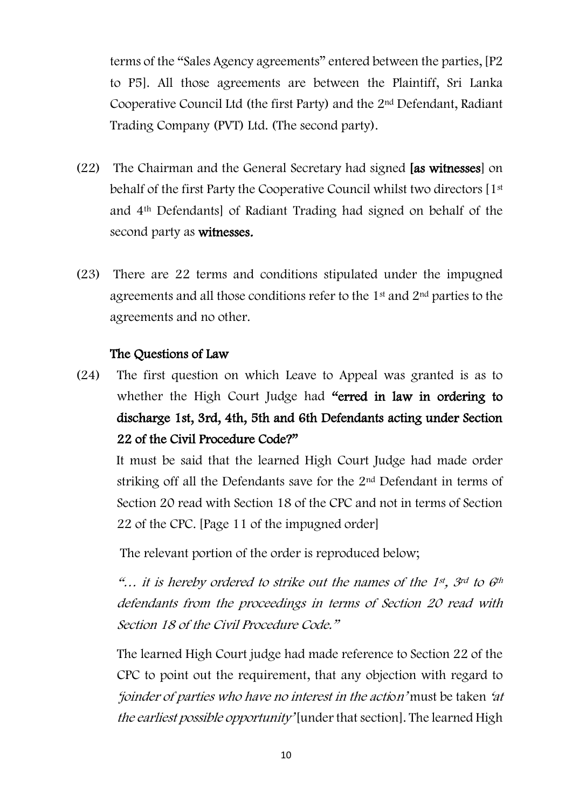terms of the "Sales Agency agreements" entered between the parties, [P2 to P5]. All those agreements are between the Plaintiff, Sri Lanka Cooperative Council Ltd (the first Party) and the 2nd Defendant, Radiant Trading Company (PVT) Ltd. (The second party).

- (22) The Chairman and the General Secretary had signed [as witnesses] on behalf of the first Party the Cooperative Council whilst two directors [1st and 4th Defendants] of Radiant Trading had signed on behalf of the second party as witnesses.
- (23) There are 22 terms and conditions stipulated under the impugned agreements and all those conditions refer to the 1<sup>st</sup> and 2<sup>nd</sup> parties to the agreements and no other.

## The Questions of Law

(24) The first question on which Leave to Appeal was granted is as to whether the High Court Judge had "erred in law in ordering to discharge 1st, 3rd, 4th, 5th and 6th Defendants acting under Section 22 of the Civil Procedure Code?"

 It must be said that the learned High Court Judge had made order striking off all the Defendants save for the 2nd Defendant in terms of Section 20 read with Section 18 of the CPC and not in terms of Section 22 of the CPC. [Page 11 of the impugned order]

The relevant portion of the order is reproduced below;

"... it is hereby ordered to strike out the names of the 1st, 3rd to 6th defendants from the proceedings in terms of Section 20 read with Section 18 of the Civil Procedure Code."

The learned High Court judge had made reference to Section 22 of the CPC to point out the requirement, that any objection with regard to 'joinder of parties who have no interest in the action' must be taken 'at the earliest possible opportunity' [under that section]. The learned High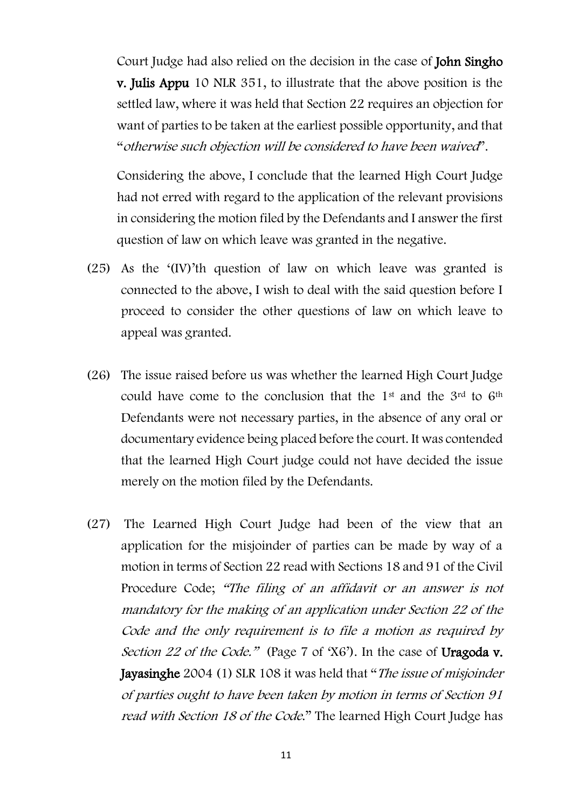Court Judge had also relied on the decision in the case of John Singho v. Julis Appu 10 NLR 351, to illustrate that the above position is the settled law, where it was held that Section 22 requires an objection for want of parties to be taken at the earliest possible opportunity, and that "otherwise such objection will be considered to have been waived".

Considering the above, I conclude that the learned High Court Judge had not erred with regard to the application of the relevant provisions in considering the motion filed by the Defendants and I answer the first question of law on which leave was granted in the negative.

- (25) As the '(IV)'th question of law on which leave was granted is connected to the above, I wish to deal with the said question before I proceed to consider the other questions of law on which leave to appeal was granted.
- (26) The issue raised before us was whether the learned High Court Judge could have come to the conclusion that the 1<sup>st</sup> and the 3<sup>rd</sup> to 6<sup>th</sup> Defendants were not necessary parties, in the absence of any oral or documentary evidence being placed before the court. It was contended that the learned High Court judge could not have decided the issue merely on the motion filed by the Defendants.
- (27) The Learned High Court Judge had been of the view that an application for the misjoinder of parties can be made by way of a motion in terms of Section 22 read with Sections 18 and 91 of the Civil Procedure Code; "The filing of an affidavit or an answer is not mandatory for the making of an application under Section 22 of the Code and the only requirement is to file a motion as required by Section 22 of the Code." (Page 7 of 'X6'). In the case of Uragoda v. Jayasinghe 2004 (1) SLR 108 it was held that "The issue of misjoinder of parties ought to have been taken by motion in terms of Section 91 read with Section 18 of the Code." The learned High Court Judge has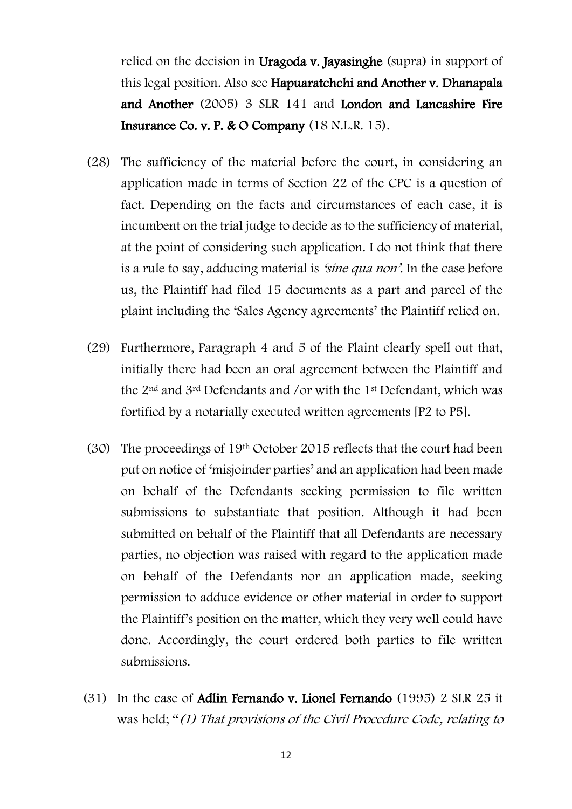relied on the decision in Uragoda v. Jayasinghe (supra) in support of this legal position. Also see Hapuaratchchi and Another v. Dhanapala and Another (2005) 3 SLR 141 and London and Lancashire Fire Insurance Co. v. P. & O Company (18 N.L.R. 15).

- (28) The sufficiency of the material before the court, in considering an application made in terms of Section 22 of the CPC is a question of fact. Depending on the facts and circumstances of each case, it is incumbent on the trial judge to decide as to the sufficiency of material, at the point of considering such application. I do not think that there is a rule to say, adducing material is 'sine qua non'. In the case before us, the Plaintiff had filed 15 documents as a part and parcel of the plaint including the 'Sales Agency agreements' the Plaintiff relied on.
- (29) Furthermore, Paragraph 4 and 5 of the Plaint clearly spell out that, initially there had been an oral agreement between the Plaintiff and the 2nd and 3rd Defendants and /or with the 1st Defendant, which was fortified by a notarially executed written agreements [P2 to P5].
- (30) The proceedings of 19th October 2015 reflects that the court had been put on notice of 'misjoinder parties' and an application had been made on behalf of the Defendants seeking permission to file written submissions to substantiate that position. Although it had been submitted on behalf of the Plaintiff that all Defendants are necessary parties, no objection was raised with regard to the application made on behalf of the Defendants nor an application made, seeking permission to adduce evidence or other material in order to support the Plaintiff's position on the matter, which they very well could have done. Accordingly, the court ordered both parties to file written submissions.
- (31) In the case of Adlin Fernando v. Lionel Fernando (1995) 2 SLR 25 it was held; "(1) That provisions of the Civil Procedure Code, relating to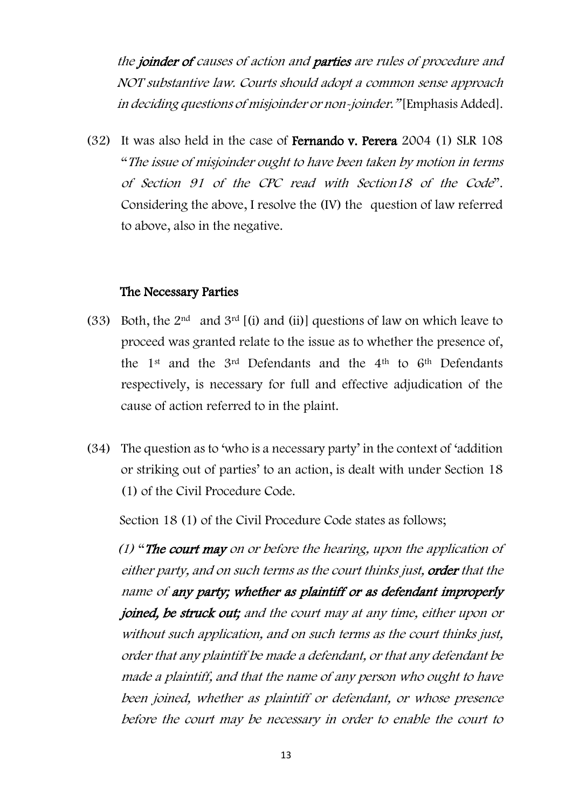the *ioinder of causes of action and parties are rules of procedure and* NOT substantive law. Courts should adopt a common sense approach in deciding questions of misjoinder or non-joinder." [Emphasis Added].

(32) It was also held in the case of Fernando v. Perera 2004 (1) SLR 108 "The issue of misjoinder ought to have been taken by motion in terms of Section 91 of the CPC read with Section18 of the Code". Considering the above, I resolve the (IV) the question of law referred to above, also in the negative.

### The Necessary Parties

- (33) Both, the  $2<sup>nd</sup>$  and  $3<sup>rd</sup>$  [(i) and (ii)] questions of law on which leave to proceed was granted relate to the issue as to whether the presence of, the 1st and the 3rd Defendants and the 4th to 6th Defendants respectively, is necessary for full and effective adjudication of the cause of action referred to in the plaint.
- (34) The question as to 'who is a necessary party' in the context of 'addition or striking out of parties' to an action, is dealt with under Section 18 (1) of the Civil Procedure Code.

Section 18 (1) of the Civil Procedure Code states as follows;

 $(1)$  "The court may on or before the hearing, upon the application of either party, and on such terms as the court thinks just, order that the name of any party; whether as plaintiff or as defendant improperly joined, be struck out; and the court may at any time, either upon or without such application, and on such terms as the court thinks just, order that any plaintiff be made a defendant, or that any defendant be made a plaintiff, and that the name of any person who ought to have been joined, whether as plaintiff or defendant, or whose presence before the court may be necessary in order to enable the court to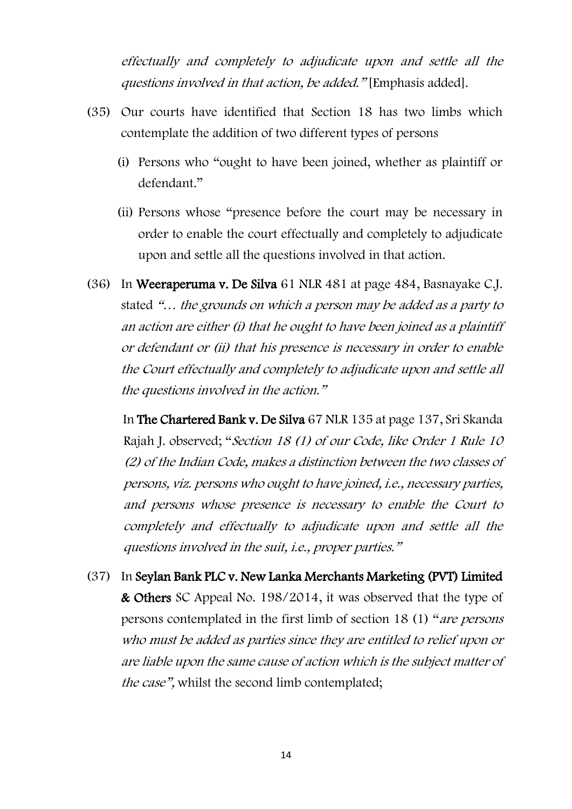effectually and completely to adjudicate upon and settle all the questions involved in that action, be added." [Emphasis added].

- (35) Our courts have identified that Section 18 has two limbs which contemplate the addition of two different types of persons
	- (i) Persons who "ought to have been joined, whether as plaintiff or defendant."
	- (ii) Persons whose "presence before the court may be necessary in order to enable the court effectually and completely to adjudicate upon and settle all the questions involved in that action.
- (36) In Weeraperuma v. De Silva 61 NLR 481 at page 484, Basnayake C.J. stated "… the grounds on which a person may be added as a party to an action are either (i) that he ought to have been joined as a plaintiff or defendant or (ii) that his presence is necessary in order to enable the Court effectually and completely to adjudicate upon and settle all the questions involved in the action."

 In The Chartered Bank v. De Silva 67 NLR 135 at page 137, Sri Skanda Rajah J. observed; "Section 18 (1) of our Code, like Order 1 Rule 10 (2) of the Indian Code, makes a distinction between the two classes of persons, viz. persons who ought to have joined, i.e., necessary parties, and persons whose presence is necessary to enable the Court to completely and effectually to adjudicate upon and settle all the questions involved in the suit, i.e., proper parties."

(37) In Seylan Bank PLC v. New Lanka Merchants Marketing (PVT) Limited & Others SC Appeal No. 198/2014, it was observed that the type of persons contemplated in the first limb of section 18 (1) "are persons who must be added as parties since they are entitled to relief upon or are liable upon the same cause of action which is the subject matter of the case", whilst the second limb contemplated;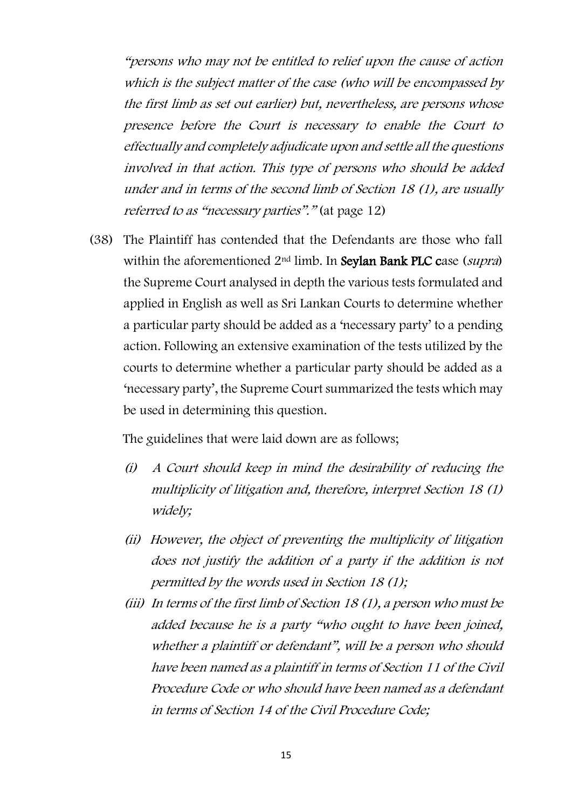"persons who may not be entitled to relief upon the cause of action which is the subject matter of the case (who will be encompassed by the first limb as set out earlier) but, nevertheless, are persons whose presence before the Court is necessary to enable the Court to effectually and completely adjudicate upon and settle all the questions involved in that action. This type of persons who should be added under and in terms of the second limb of Section 18 (1), are usually referred to as "necessary parties"." (at page 12)

(38) The Plaintiff has contended that the Defendants are those who fall within the aforementioned 2<sup>nd</sup> limb. In Seylan Bank PLC case (supra) the Supreme Court analysed in depth the various tests formulated and applied in English as well as Sri Lankan Courts to determine whether a particular party should be added as a 'necessary party' to a pending action. Following an extensive examination of the tests utilized by the courts to determine whether a particular party should be added as a 'necessary party', the Supreme Court summarized the tests which may be used in determining this question.

The guidelines that were laid down are as follows;

- (i) A Court should keep in mind the desirability of reducing the multiplicity of litigation and, therefore, interpret Section 18 (1) widely;
- (ii) However, the object of preventing the multiplicity of litigation does not justify the addition of a party if the addition is not permitted by the words used in Section 18 (1);
- (iii) In terms of the first limb of Section 18 (1), a person who must be added because he is a party "who ought to have been joined, whether a plaintiff or defendant", will be a person who should have been named as a plaintiff in terms of Section 11 of the Civil Procedure Code or who should have been named as a defendant in terms of Section 14 of the Civil Procedure Code;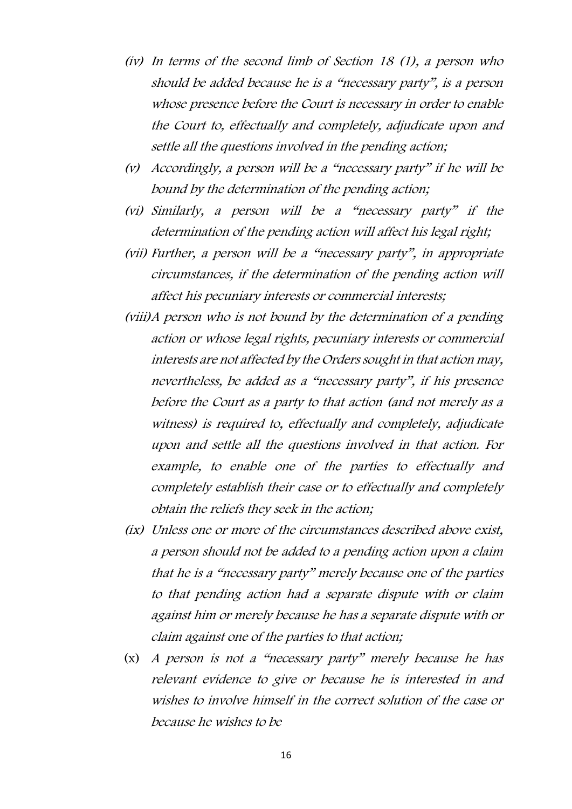- (iv) In terms of the second limb of Section 18 (1), a person who should be added because he is a "necessary party", is a person whose presence before the Court is necessary in order to enable the Court to, effectually and completely, adjudicate upon and settle all the questions involved in the pending action;
- (v) Accordingly, a person will be a "necessary party" if he will be bound by the determination of the pending action;
- (vi) Similarly, a person will be a "necessary party" if the determination of the pending action will affect his legal right;
- (vii) Further, a person will be a "necessary party", in appropriate circumstances, if the determination of the pending action will affect his pecuniary interests or commercial interests;
- (viii)A person who is not bound by the determination of a pending action or whose legal rights, pecuniary interests or commercial interests are not affected by the Orders sought in that action may, nevertheless, be added as a "necessary party", if his presence before the Court as a party to that action (and not merely as a witness) is required to, effectually and completely, adjudicate upon and settle all the questions involved in that action. For example, to enable one of the parties to effectually and completely establish their case or to effectually and completely obtain the reliefs they seek in the action;
- (ix) Unless one or more of the circumstances described above exist, a person should not be added to a pending action upon a claim that he is a "necessary party" merely because one of the parties to that pending action had a separate dispute with or claim against him or merely because he has a separate dispute with or claim against one of the parties to that action;
- (x) A person is not a "necessary party" merely because he has relevant evidence to give or because he is interested in and wishes to involve himself in the correct solution of the case or because he wishes to be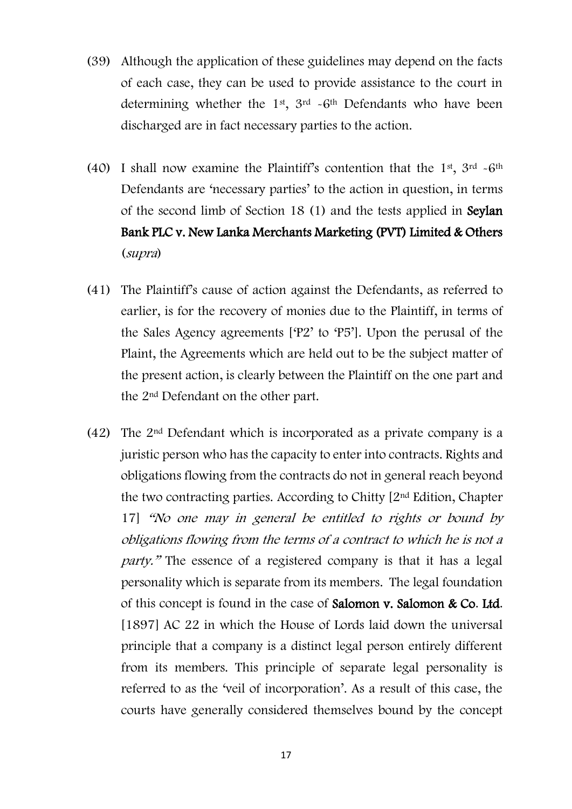- (39) Although the application of these guidelines may depend on the facts of each case, they can be used to provide assistance to the court in determining whether the  $1<sup>st</sup>$ ,  $3<sup>rd</sup>$  -6<sup>th</sup> Defendants who have been discharged are in fact necessary parties to the action.
- (40) I shall now examine the Plaintiff's contention that the 1<sup>st</sup>, 3<sup>rd</sup>  $\sim$  6<sup>th</sup> Defendants are 'necessary parties' to the action in question, in terms of the second limb of Section 18 (1) and the tests applied in Seylan Bank PLC v. New Lanka Merchants Marketing (PVT) Limited & Others (supra)
- (41) The Plaintiff's cause of action against the Defendants, as referred to earlier, is for the recovery of monies due to the Plaintiff, in terms of the Sales Agency agreements ['P2' to 'P5']. Upon the perusal of the Plaint, the Agreements which are held out to be the subject matter of the present action, is clearly between the Plaintiff on the one part and the 2nd Defendant on the other part.
- (42) The 2nd Defendant which is incorporated as a private company is a juristic person who has the capacity to enter into contracts. Rights and obligations flowing from the contracts do not in general reach beyond the two contracting parties. According to Chitty [2nd Edition, Chapter 17] "No one may in general be entitled to rights or bound by obligations flowing from the terms of a contract to which he is not a party." The essence of a registered company is that it has a legal personality which is separate from its members. The legal foundation of this concept is found in the case of Salomon v. Salomon & Co. Ltd. [1897] AC 22 in which the House of Lords laid down the universal principle that a company is a distinct legal person entirely different from its members. This principle of separate legal personality is referred to as the 'veil of incorporation'. As a result of this case, the courts have generally considered themselves bound by the concept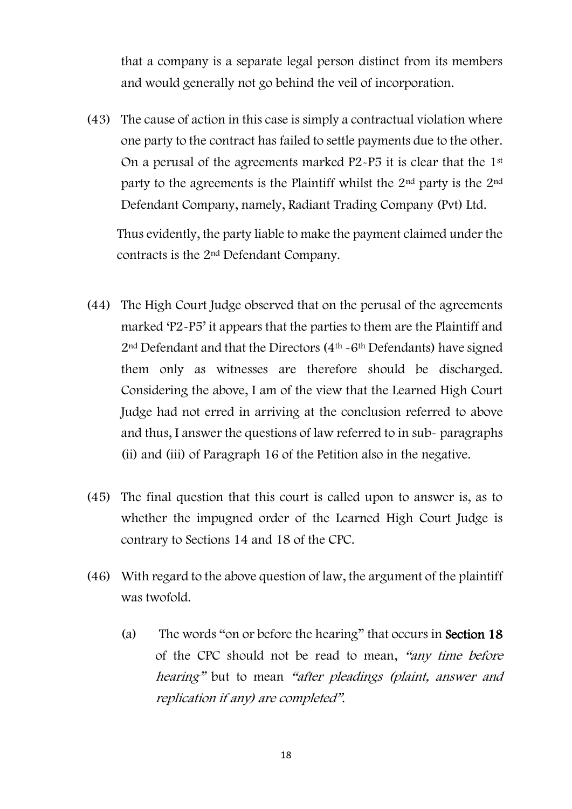that a company is a separate legal person distinct from its members and would generally not go behind the veil of incorporation.

(43) The cause of action in this case is simply a contractual violation where one party to the contract has failed to settle payments due to the other. On a perusal of the agreements marked P2-P5 it is clear that the 1st party to the agreements is the Plaintiff whilst the 2nd party is the 2nd Defendant Company, namely, Radiant Trading Company (Pvt) Ltd.

Thus evidently, the party liable to make the payment claimed under the contracts is the 2nd Defendant Company.

- (44) The High Court Judge observed that on the perusal of the agreements marked 'P2-P5' it appears that the parties to them are the Plaintiff and 2nd Defendant and that the Directors (4th -6th Defendants) have signed them only as witnesses are therefore should be discharged. Considering the above, I am of the view that the Learned High Court Judge had not erred in arriving at the conclusion referred to above and thus, I answer the questions of law referred to in sub- paragraphs (ii) and (iii) of Paragraph 16 of the Petition also in the negative.
- (45) The final question that this court is called upon to answer is, as to whether the impugned order of the Learned High Court Judge is contrary to Sections 14 and 18 of the CPC.
- (46) With regard to the above question of law, the argument of the plaintiff was twofold.
	- (a) The words "on or before the hearing" that occurs in Section 18 of the CPC should not be read to mean, "any time before hearing" but to mean "after pleadings (plaint, answer and replication if any) are completed".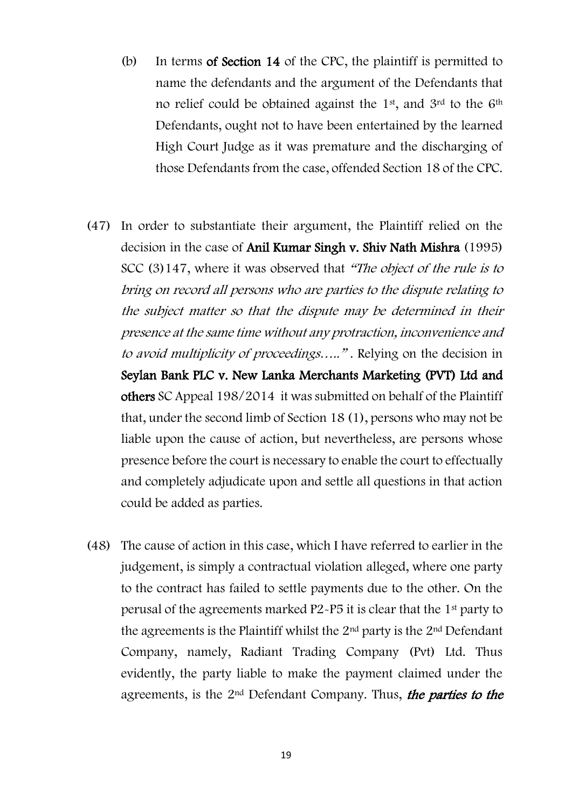- (b) In terms of Section 14 of the CPC, the plaintiff is permitted to name the defendants and the argument of the Defendants that no relief could be obtained against the  $1<sup>st</sup>$ , and  $3<sup>rd</sup>$  to the  $6<sup>th</sup>$ Defendants, ought not to have been entertained by the learned High Court Judge as it was premature and the discharging of those Defendants from the case, offended Section 18 of the CPC.
- (47) In order to substantiate their argument, the Plaintiff relied on the decision in the case of Anil Kumar Singh v. Shiv Nath Mishra (1995) SCC (3)147, where it was observed that "The object of the rule is to bring on record all persons who are parties to the dispute relating to the subject matter so that the dispute may be determined in their presence at the same time without any protraction, inconvenience and to avoid multiplicity of proceedings….." . Relying on the decision in Seylan Bank PLC v. New Lanka Merchants Marketing (PVT) Ltd and others SC Appeal 198/2014 it was submitted on behalf of the Plaintiff that, under the second limb of Section 18 (1), persons who may not be liable upon the cause of action, but nevertheless, are persons whose presence before the court is necessary to enable the court to effectually and completely adjudicate upon and settle all questions in that action could be added as parties.
- (48) The cause of action in this case, which I have referred to earlier in the judgement, is simply a contractual violation alleged, where one party to the contract has failed to settle payments due to the other. On the perusal of the agreements marked P2-P5 it is clear that the 1st party to the agreements is the Plaintiff whilst the  $2<sup>nd</sup>$  party is the  $2<sup>nd</sup>$  Defendant Company, namely, Radiant Trading Company (Pvt) Ltd. Thus evidently, the party liable to make the payment claimed under the agreements, is the  $2<sup>nd</sup>$  Defendant Company. Thus, the parties to the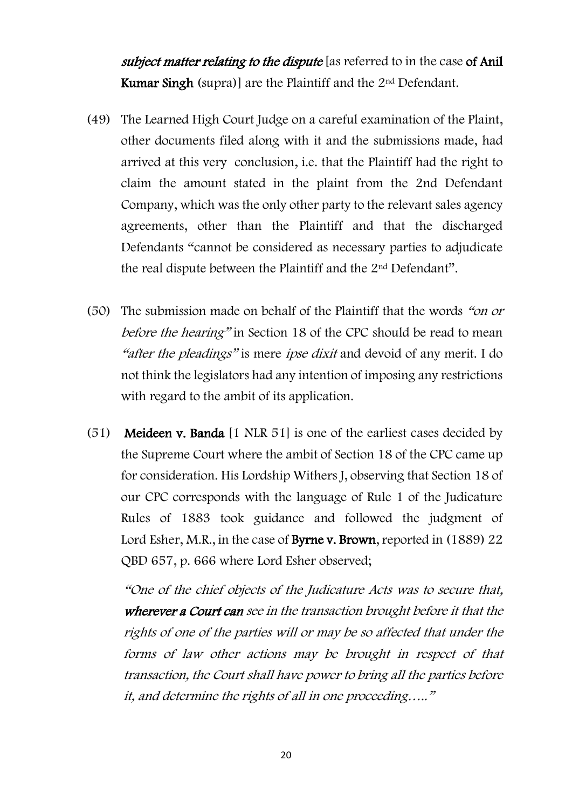subject matter relating to the dispute [as referred to in the case of Anil **Kumar Singh (supra)]** are the Plaintiff and the  $2<sup>nd</sup>$  Defendant.

- (49) The Learned High Court Judge on a careful examination of the Plaint, other documents filed along with it and the submissions made, had arrived at this very conclusion, i.e. that the Plaintiff had the right to claim the amount stated in the plaint from the 2nd Defendant Company, which was the only other party to the relevant sales agency agreements, other than the Plaintiff and that the discharged Defendants "cannot be considered as necessary parties to adjudicate the real dispute between the Plaintiff and the 2nd Defendant".
- (50) The submission made on behalf of the Plaintiff that the words "on or before the hearing" in Section 18 of the CPC should be read to mean "after the pleadings" is mere ipse dixit and devoid of any merit. I do not think the legislators had any intention of imposing any restrictions with regard to the ambit of its application.
- (51) Meideen v. Banda [1 NLR 51] is one of the earliest cases decided by the Supreme Court where the ambit of Section 18 of the CPC came up for consideration. His Lordship Withers J, observing that Section 18 of our CPC corresponds with the language of Rule 1 of the Judicature Rules of 1883 took guidance and followed the judgment of Lord Esher, M.R., in the case of **Byrne v. Brown**, reported in (1889) 22 QBD 657, p. 666 where Lord Esher observed;

"One of the chief objects of the Judicature Acts was to secure that, wherever a Court can see in the transaction brought before it that the rights of one of the parties will or may be so affected that under the forms of law other actions may be brought in respect of that transaction, the Court shall have power to bring all the parties before it, and determine the rights of all in one proceeding….."